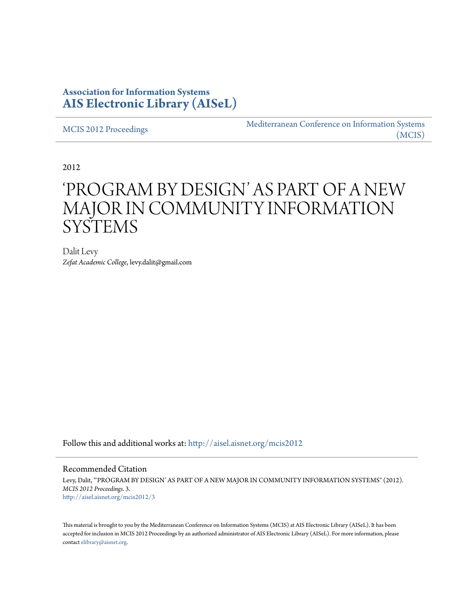## **Association for Information Systems [AIS Electronic Library \(AISeL\)](http://aisel.aisnet.org?utm_source=aisel.aisnet.org%2Fmcis2012%2F3&utm_medium=PDF&utm_campaign=PDFCoverPages)**

[MCIS 2012 Proceedings](http://aisel.aisnet.org/mcis2012?utm_source=aisel.aisnet.org%2Fmcis2012%2F3&utm_medium=PDF&utm_campaign=PDFCoverPages)

[Mediterranean Conference on Information Systems](http://aisel.aisnet.org/mcis?utm_source=aisel.aisnet.org%2Fmcis2012%2F3&utm_medium=PDF&utm_campaign=PDFCoverPages) [\(MCIS\)](http://aisel.aisnet.org/mcis?utm_source=aisel.aisnet.org%2Fmcis2012%2F3&utm_medium=PDF&utm_campaign=PDFCoverPages)

2012

# 'PROGRAM BY DESIGN' AS PART OF A NEW MAJOR IN COMMUNITY INFORMATION **SYSTEMS**

Dalit Levy *Zefat Academic College*, levy.dalit@gmail.com

Follow this and additional works at: [http://aisel.aisnet.org/mcis2012](http://aisel.aisnet.org/mcis2012?utm_source=aisel.aisnet.org%2Fmcis2012%2F3&utm_medium=PDF&utm_campaign=PDFCoverPages)

#### Recommended Citation

Levy, Dalit, "'PROGRAM BY DESIGN' AS PART OF A NEW MAJOR IN COMMUNITY INFORMATION SYSTEMS" (2012). *MCIS 2012 Proceedings*. 3. [http://aisel.aisnet.org/mcis2012/3](http://aisel.aisnet.org/mcis2012/3?utm_source=aisel.aisnet.org%2Fmcis2012%2F3&utm_medium=PDF&utm_campaign=PDFCoverPages)

This material is brought to you by the Mediterranean Conference on Information Systems (MCIS) at AIS Electronic Library (AISeL). It has been accepted for inclusion in MCIS 2012 Proceedings by an authorized administrator of AIS Electronic Library (AISeL). For more information, please contact [elibrary@aisnet.org.](mailto:elibrary@aisnet.org%3E)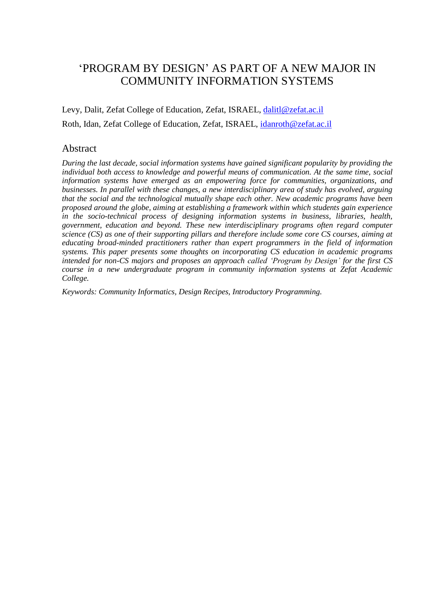# 'PROGRAM BY DESIGN' AS PART OF A NEW MAJOR IN COMMUNITY INFORMATION SYSTEMS

Levy, Dalit, Zefat College of Education, Zefat, ISRAEL, [dalitl@zefat.ac.il](mailto:dalitl@zefat.ac.il) Roth, Idan, Zefat College of Education, Zefat, ISRAEL, [idanroth@zefat.ac.il](mailto:idanroth@zefat.ac.il)

#### Abstract

*During the last decade, social information systems have gained significant popularity by providing the individual both access to knowledge and powerful means of communication. At the same time, social information systems have emerged as an empowering force for communities, organizations, and businesses. In parallel with these changes, a new interdisciplinary area of study has evolved, arguing that the social and the technological mutually shape each other. New academic programs have been proposed around the globe, aiming at establishing a framework within which students gain experience in the socio-technical process of designing information systems in business, libraries, health, government, education and beyond. These new interdisciplinary programs often regard computer science (CS) as one of their supporting pillars and therefore include some core CS courses, aiming at educating broad-minded practitioners rather than expert programmers in the field of information systems. This paper presents some thoughts on incorporating CS education in academic programs intended for non-CS majors and proposes an approach called 'Program by Design' for the first CS course in a new undergraduate program in community information systems at Zefat Academic College.*

*Keywords: Community Informatics, Design Recipes, Introductory Programming.*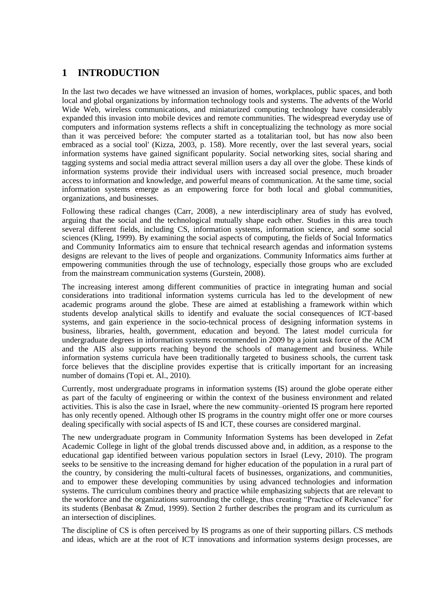## **1 INTRODUCTION**

In the last two decades we have witnessed an invasion of homes, workplaces, public spaces, and both local and global organizations by information technology tools and systems. The advents of the World Wide Web, wireless communications, and miniaturized computing technology have considerably expanded this invasion into mobile devices and remote communities. The widespread everyday use of computers and information systems reflects a shift in conceptualizing the technology as more social than it was perceived before: 'the computer started as a totalitarian tool, but has now also been embraced as a social tool' (Kizza, 2003, p. 158). More recently, over the last several years, social information systems have gained significant popularity. Social networking sites, social sharing and tagging systems and social media attract several million users a day all over the globe. These kinds of information systems provide their individual users with increased social presence, much broader access to information and knowledge, and powerful means of communication. At the same time, social information systems emerge as an empowering force for both local and global communities, organizations, and businesses.

Following these radical changes (Carr, 2008), a new interdisciplinary area of study has evolved, arguing that the social and the technological mutually shape each other. Studies in this area touch several different fields, including CS, information systems, information science, and some social sciences (Kling, 1999). By examining the social aspects of computing, the fields of Social Informatics and Community Informatics aim to ensure that technical research agendas and information systems designs are relevant to the lives of people and organizations. Community Informatics aims further at empowering communities through the use of technology, especially those groups who are excluded from the mainstream communication systems (Gurstein, 2008).

The increasing interest among different communities of practice in integrating human and social considerations into traditional information systems curricula has led to the development of new academic programs around the globe. These are aimed at establishing a framework within which students develop analytical skills to identify and evaluate the social consequences of ICT-based systems, and gain experience in the socio-technical process of designing information systems in business, libraries, health, government, education and beyond. The latest model curricula for undergraduate degrees in information systems recommended in 2009 by a joint task force of the ACM and the AIS also supports reaching beyond the schools of management and business. While information systems curricula have been traditionally targeted to business schools, the current task force believes that the discipline provides expertise that is critically important for an increasing number of domains (Topi et. Al., 2010).

Currently, most undergraduate programs in information systems (IS) around the globe operate either as part of the faculty of engineering or within the context of the business environment and related activities. This is also the case in Israel, where the new community–oriented IS program here reported has only recently opened. Although other IS programs in the country might offer one or more courses dealing specifically with social aspects of IS and ICT, these courses are considered marginal.

The new undergraduate program in Community Information Systems has been developed in Zefat Academic College in light of the global trends discussed above and, in addition, as a response to the educational gap identified between various population sectors in Israel (Levy, 2010). The program seeks to be sensitive to the increasing demand for higher education of the population in a rural part of the country, by considering the multi-cultural facets of businesses, organizations, and communities, and to empower these developing communities by using advanced technologies and information systems. The curriculum combines theory and practice while emphasizing subjects that are relevant to the workforce and the organizations surrounding the college, thus creating "Practice of Relevance" for its students (Benbasat & Zmud, 1999). Section 2 further describes the program and its curriculum as an intersection of disciplines.

The discipline of CS is often perceived by IS programs as one of their supporting pillars. CS methods and ideas, which are at the root of ICT innovations and information systems design processes, are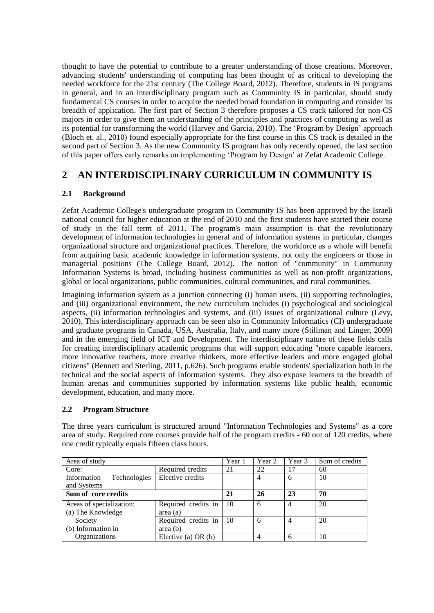thought to have the potential to contribute to a greater understanding of those creations. Moreover, advancing students' understanding of computing has been thought of as critical to developing the needed workforce for the 21st century (The College Board, 2012). Therefore, students in IS programs in general, and in an interdisciplinary program such as Community IS in particular, should study fundamental CS courses in order to acquire the needed broad foundation in computing and consider its breadth of application. The first part of Section 3 therefore proposes a CS track tailored for non-CS majors in order to give them an understanding of the principles and practices of computing as well as its potential for transforming the world (Harvey and Garcia, 2010). The 'Program by Design' approach (Bloch et. al., 2010) found especially appropriate for the first course in this CS track is detailed in the second part of Section 3. As the new Community IS program has only recently opened, the last section of this paper offers early remarks on implementing 'Program by Design' at Zefat Academic College.

## **2 AN INTERDISCIPLINARY CURRICULUM IN COMMUNITY IS**

#### **2.1 Background**

Zefat Academic College's undergraduate program in Community IS has been approved by the Israeli national council for higher education at the end of 2010 and the first students have started their course of study in the fall term of 2011. The program's main assumption is that the revolutionary development of information technologies in general and of information systems in particular, changes organizational structure and organizational practices. Therefore, the workforce as a whole will benefit from acquiring basic academic knowledge in information systems, not only the engineers or those in managerial positions (The College Board, 2012). The notion of "community" in Community Information Systems is broad, including business communities as well as non-profit organizations, global or local organizations, public communities, cultural communities, and rural communities.

Imagining information system as a junction connecting (i) human users, (ii) supporting technologies, and (iii) organizational environment, the new curriculum includes (i) psychological and sociological aspects, (ii) information technologies and systems, and (iii) issues of organizational culture (Levy, 2010). This interdisciplinary approach can be seen also in Community Informatics (CI) undergraduate and graduate programs in Canada, USA, Australia, Italy, and many more (Stillman and Linger, 2009) and in the emerging field of ICT and Development. The interdisciplinary nature of these fields calls for creating interdisciplinary academic programs that will support educating "more capable learners, more innovative teachers, more creative thinkers, more effective leaders and more engaged global citizens" (Bennett and Sterling, 2011, p.626). Such programs enable students' specialization both in the technical and the social aspects of information systems. They also expose learners to the breadth of human arenas and communities supported by information systems like public health, economic development, education, and many more.

#### **2.2 Program Structure**

The three years curriculum is structured around "Information Technologies and Systems" as a core area of study. Required core courses provide half of the program credits - 60 out of 120 credits, where one credit typically equals fifteen class hours.

| Area of study               |                      | Year 1 | Year 2 | Year 3 | Sum of credits |
|-----------------------------|----------------------|--------|--------|--------|----------------|
| Core:                       | Required credits     | 21     | 22     | 17     | 60             |
| Information<br>Technologies | Elective credits     |        | 4      | 6      | 10             |
| and Systems                 |                      |        |        |        |                |
| Sum of core credits         |                      | 21     | 26     | 23     | 70             |
| Areas of specialization:    | Required credits in  | -10    | 6      | 4      | 20             |
| (a) The Knowledge           | area(a)              |        |        |        |                |
| Society                     | Required credits in  | 10     | 6      | 4      | 20             |
| (b) Information in          | area (b)             |        |        |        |                |
| Organizations               | Elective (a) $OR(b)$ |        | 4      | 6      | 10             |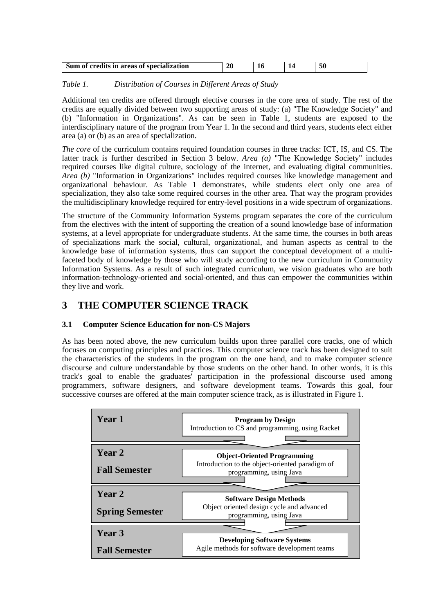| Sum of credits in areas of specialization<br>50 |
|-------------------------------------------------|
|-------------------------------------------------|

*Table 1. Distribution of Courses in Different Areas of Study*

Additional ten credits are offered through elective courses in the core area of study. The rest of the credits are equally divided between two supporting areas of study: (a) "The Knowledge Society" and (b) "Information in Organizations". As can be seen in Table 1, students are exposed to the interdisciplinary nature of the program from Year 1. In the second and third years, students elect either area (a) or (b) as an area of specialization.

*The core* of the curriculum contains required foundation courses in three tracks: ICT, IS, and CS. The latter track is further described in Section 3 below. *Area (a)* "The Knowledge Society" includes required courses like digital culture, sociology of the internet, and evaluating digital communities. *Area (b)* "Information in Organizations" includes required courses like knowledge management and organizational behaviour. As Table 1 demonstrates, while students elect only one area of specialization, they also take some required courses in the other area. That way the program provides the multidisciplinary knowledge required for entry-level positions in a wide spectrum of organizations.

The structure of the Community Information Systems program separates the core of the curriculum from the electives with the intent of supporting the creation of a sound knowledge base of information systems, at a level appropriate for undergraduate students. At the same time, the courses in both areas of specializations mark the social, cultural, organizational, and human aspects as central to the knowledge base of information systems, thus can support the conceptual development of a multifaceted body of knowledge by those who will study according to the new curriculum in Community Information Systems. As a result of such integrated curriculum, we vision graduates who are both information-technology-oriented and social-oriented, and thus can empower the communities within they live and work.

## **3 THE COMPUTER SCIENCE TRACK**

#### **3.1 Computer Science Education for non-CS Majors**

As has been noted above, the new curriculum builds upon three parallel core tracks, one of which focuses on computing principles and practices. This computer science track has been designed to suit the characteristics of the students in the program on the one hand, and to make computer science discourse and culture understandable by those students on the other hand. In other words, it is this track's goal to enable the graduates' participation in the professional discourse used among programmers, software designers, and software development teams. Towards this goal, four successive courses are offered at the main computer science track, as is illustrated in Figure 1.

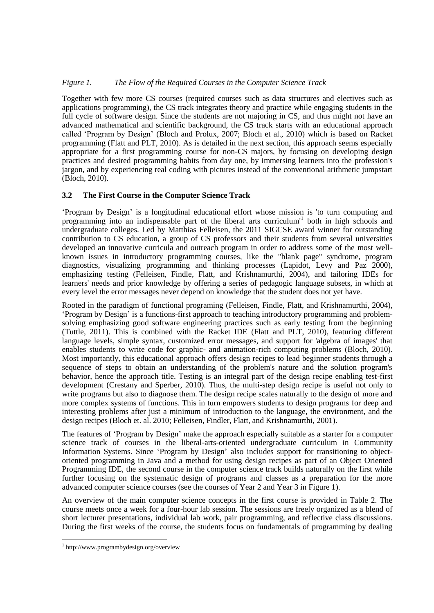#### *Figure 1. The Flow of the Required Courses in the Computer Science Track*

Together with few more CS courses (required courses such as data structures and electives such as applications programming), the CS track integrates theory and practice while engaging students in the full cycle of software design. Since the students are not majoring in CS, and thus might not have an advanced mathematical and scientific background, the CS track starts with an educational approach called 'Program by Design' (Bloch and Prolux, 2007; Bloch et al., 2010) which is based on Racket programming (Flatt and PLT, 2010). As is detailed in the next section, this approach seems especially appropriate for a first programming course for non-CS majors, by focusing on developing design practices and desired programming habits from day one, by immersing learners into the profession's jargon, and by experiencing real coding with pictures instead of the conventional arithmetic jumpstart (Bloch, 2010).

#### **3.2 The First Course in the Computer Science Track**

'Program by Design' is a longitudinal educational effort whose mission is 'to turn computing and programming into an indispensable part of the liberal arts curriculum<sup>1</sup> both in high schools and undergraduate colleges. Led by Matthias Felleisen, the 2011 SIGCSE award winner for outstanding contribution to CS education, a group of CS professors and their students from several universities developed an innovative curricula and outreach program in order to address some of the most wellknown issues in introductory programming courses, like the "blank page" syndrome, program diagnostics, visualizing programming and thinking processes (Lapidot, Levy and Paz 2000), emphasizing testing (Felleisen, Findle, Flatt, and Krishnamurthi, 2004), and tailoring IDEs for learners' needs and prior knowledge by offering a series of pedagogic language subsets, in which at every level the error messages never depend on knowledge that the student does not yet have.

Rooted in the paradigm of functional programing (Felleisen, Findle, Flatt, and Krishnamurthi, 2004), 'Program by Design' is a functions-first approach to teaching introductory programming and problemsolving emphasizing good software engineering practices such as early testing from the beginning (Tuttle, 2011). This is combined with the Racket IDE (Flatt and PLT, 2010), featuring different language levels, simple syntax, customized error messages, and support for 'algebra of images' that enables students to write code for graphic- and animation-rich computing problems (Bloch, 2010). Most importantly, this educational approach offers design recipes to lead beginner students through a sequence of steps to obtain an understanding of the problem's nature and the solution program's behavior, hence the approach title. Testing is an integral part of the design recipe enabling test-first development (Crestany and Sperber, 2010). Thus, the multi-step design recipe is useful not only to write programs but also to diagnose them. The design recipe scales naturally to the design of more and more complex systems of functions. This in turn empowers students to design programs for deep and interesting problems after just a minimum of introduction to the language, the environment, and the design recipes (Bloch et. al. 2010; Felleisen, Findler, Flatt, and Krishnamurthi, 2001).

The features of 'Program by Design' make the approach especially suitable as a starter for a computer science track of courses in the liberal-arts-oriented undergraduate curriculum in Community Information Systems. Since 'Program by Design' also includes support for transitioning to objectoriented programming in Java and a method for using design recipes as part of an Object Oriented Programming IDE, the second course in the computer science track builds naturally on the first while further focusing on the systematic design of programs and classes as a preparation for the more advanced computer science courses (see the courses of Year 2 and Year 3 in Figure 1).

An overview of the main computer science concepts in the first course is provided in Table 2. The course meets once a week for a four-hour lab session. The sessions are freely organized as a blend of short lecturer presentations, individual lab work, pair programming, and reflective class discussions. During the first weeks of the course, the students focus on fundamentals of programming by dealing

 $\overline{a}$ 

<sup>1</sup> <http://www.programbydesign.org/overview>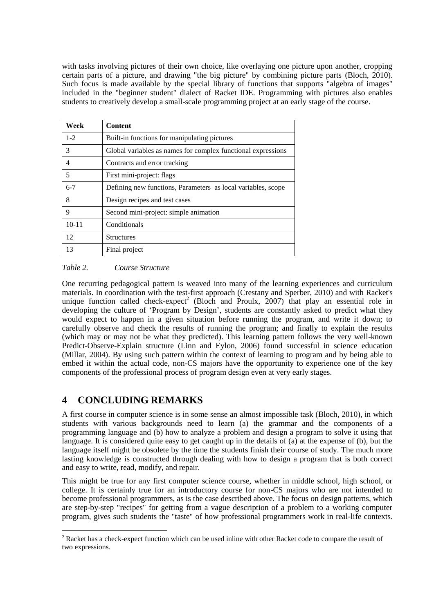with tasks involving pictures of their own choice, like overlaying one picture upon another, cropping certain parts of a picture, and drawing "the big picture" by combining picture parts (Bloch, 2010). Such focus is made available by the special library of functions that supports "algebra of images" included in the "beginner student" dialect of Racket IDE. Programming with pictures also enables students to creatively develop a small-scale programming project at an early stage of the course.

| Week    | <b>Content</b>                                               |
|---------|--------------------------------------------------------------|
| $1 - 2$ | Built-in functions for manipulating pictures                 |
| 3       | Global variables as names for complex functional expressions |
| 4       | Contracts and error tracking                                 |
| 5       | First mini-project: flags                                    |
| $6 - 7$ | Defining new functions, Parameters as local variables, scope |
| 8       | Design recipes and test cases                                |
| 9       | Second mini-project: simple animation                        |
| $10-11$ | Conditionals                                                 |
| 12      | <b>Structures</b>                                            |
| 13      | Final project                                                |

#### *Table 2. Course Structure*

One recurring pedagogical pattern is weaved into many of the learning experiences and curriculum materials. In coordination with the test-first approach (Crestany and Sperber, 2010) and with Racket's unique function called check-expect<sup>2</sup> (Bloch and Proulx, 2007) that play an essential role in developing the culture of 'Program by Design', students are constantly asked to predict what they would expect to happen in a given situation before running the program, and write it down; to carefully observe and check the results of running the program; and finally to explain the results (which may or may not be what they predicted). This learning pattern follows the very well-known Predict-Observe-Explain structure (Linn and Eylon, 2006) found successful in science education (Millar, 2004). By using such pattern within the context of learning to program and by being able to embed it within the actual code, non-CS majors have the opportunity to experience one of the key components of the professional process of program design even at very early stages.

### **4 CONCLUDING REMARKS**

 $\overline{a}$ 

A first course in computer science is in some sense an almost impossible task (Bloch, 2010), in which students with various backgrounds need to learn (a) the grammar and the components of a programming language and (b) how to analyze a problem and design a program to solve it using that language. It is considered quite easy to get caught up in the details of (a) at the expense of (b), but the language itself might be obsolete by the time the students finish their course of study. The much more lasting knowledge is constructed through dealing with how to design a program that is both correct and easy to write, read, modify, and repair.

This might be true for any first computer science course, whether in middle school, high school, or college. It is certainly true for an introductory course for non-CS majors who are not intended to become professional programmers, as is the case described above. The focus on design patterns, which are step-by-step "recipes" for getting from a vague description of a problem to a working computer program, gives such students the "taste" of how professional programmers work in real-life contexts.

<sup>&</sup>lt;sup>2</sup> Racket has a check-expect function which can be used inline with other Racket code to compare the result of two expressions.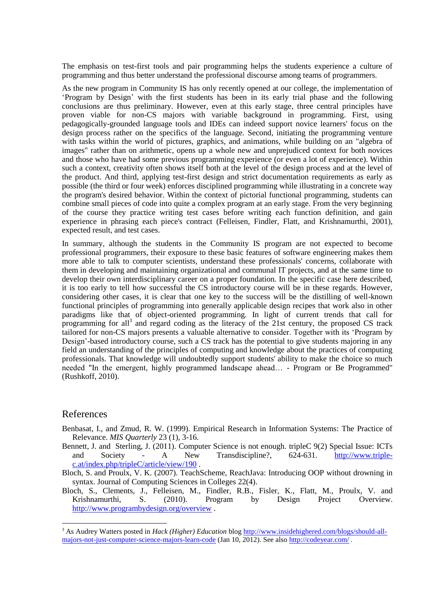The emphasis on test-first tools and pair programming helps the students experience a culture of programming and thus better understand the professional discourse among teams of programmers.

As the new program in Community IS has only recently opened at our college, the implementation of 'Program by Design' with the first students has been in its early trial phase and the following conclusions are thus preliminary. However, even at this early stage, three central principles have proven viable for non-CS majors with variable background in programming. First, using pedagogically-grounded language tools and IDEs can indeed support novice learners' focus on the design process rather on the specifics of the language. Second, initiating the programming venture with tasks within the world of pictures, graphics, and animations, while building on an "algebra of images" rather than on arithmetic, opens up a whole new and unprejudiced context for both novices and those who have had some previous programming experience (or even a lot of experience). Within such a context, creativity often shows itself both at the level of the design process and at the level of the product. And third, applying test-first design and strict documentation requirements as early as possible (the third or four week) enforces disciplined programming while illustrating in a concrete way the program's desired behavior. Within the context of pictorial functional programming, students can combine small pieces of code into quite a complex program at an early stage. From the very beginning of the course they practice writing test cases before writing each function definition, and gain experience in phrasing each piece's contract (Felleisen, Findler, Flatt, and Krishnamurthi, 2001), expected result, and test cases.

In summary, although the students in the Community IS program are not expected to become professional programmers, their exposure to these basic features of software engineering makes them more able to talk to computer scientists, understand these professionals' concerns, collaborate with them in developing and maintaining organizational and communal IT projects, and at the same time to develop their own interdisciplinary career on a proper foundation. In the specific case here described, it is too early to tell how successful the CS introductory course will be in these regards. However, considering other cases, it is clear that one key to the success will be the distilling of well-known functional principles of programming into generally applicable design recipes that work also in other paradigms like that of object-oriented programming. In light of current trends that call for programming for all<sup>3</sup> and regard coding as the literacy of the 21st century, the proposed CS track tailored for non-CS majors presents a valuable alternative to consider. Together with its 'Program by Design'-based introductory course, such a CS track has the potential to give students majoring in any field an understanding of the principles of computing and knowledge about the practices of computing professionals. That knowledge will undoubtedly support students' ability to make the choice so much needed "In the emergent, highly programmed landscape ahead… - Program or Be Programmed" (Rushkoff, 2010).

#### References

 $\overline{a}$ 

- Benbasat, I., and Zmud, R. W. (1999). Empirical Research in Information Systems: The Practice of Relevance. *MIS Quarterly* 23 (1), 3-16.
- Bennett, J. and Sterling, J. (2011). Computer Science is not enough. tripleC 9(2) Special Issue: ICTs and Society - A New Transdiscipline?, 624-631. [http://www.triple](http://www.triple-c.at/index.php/tripleC/article/view/190)[c.at/index.php/tripleC/article/view/190](http://www.triple-c.at/index.php/tripleC/article/view/190) .
- Bloch, S. and Proulx, V. K. (2007). TeachScheme, ReachJava: Introducing OOP without drowning in syntax. Journal of Computing Sciences in Colleges 22(4).
- Bloch, S., Clements, J., Felleisen, M., Findler, R.B., Fisler, K., Flatt, M., Proulx, V. and Krishnamurthi, S. (2010). Program by Design Project Overview. Krishnamurthi, S. (2010). Program by Design Project Overview. <http://www.programbydesign.org/overview> .

<sup>3</sup> As Audrey Watters posted in *Hack (Higher) Education* blog [http://www.insidehighered.com/blogs/should-all](http://www.insidehighered.com/blogs/should-all-majors-not-just-computer-science-majors-learn-code)[majors-not-just-computer-science-majors-learn-code](http://www.insidehighered.com/blogs/should-all-majors-not-just-computer-science-majors-learn-code) (Jan 10, 2012). See als[o http://codeyear.com/](http://codeyear.com/) .